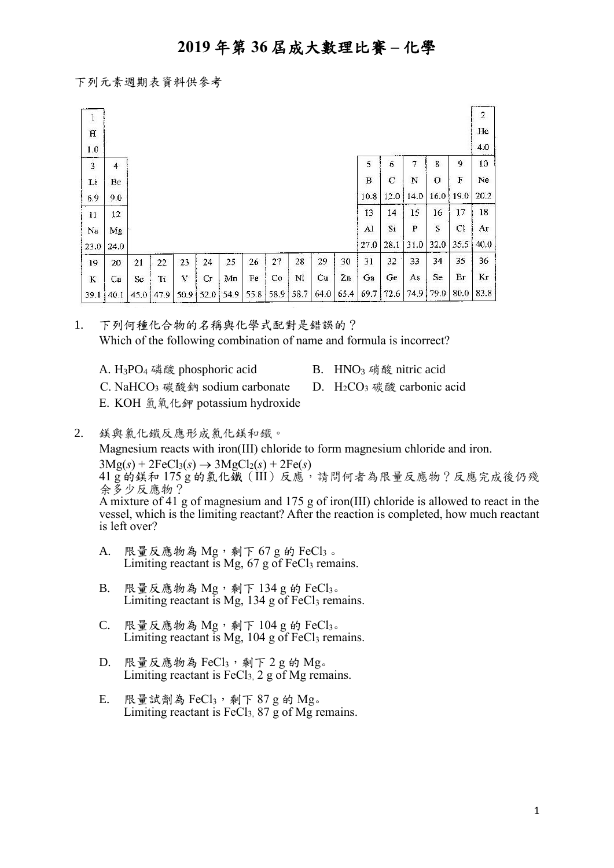#### 下列元素週期表資料供參考

| ţ           |         |      |      |      |    |             |      |      |      |      |      |      |             |      |         |              | $\sqrt{2}$ |
|-------------|---------|------|------|------|----|-------------|------|------|------|------|------|------|-------------|------|---------|--------------|------------|
| $H_{\rm}$   |         |      |      |      |    |             |      |      |      |      |      |      |             |      |         |              | He         |
| 1.0         |         |      |      |      |    |             |      |      |      |      |      |      |             |      |         |              | 4.0        |
| $\mathbf 3$ | 4       |      |      |      |    |             |      |      |      |      |      | 5    | 6           | 7    | 8       | 9            | 10         |
| Li          | Be      |      |      |      |    |             |      |      |      |      |      | В    | $\mathbf C$ | N    | $\circ$ | F            | Ne         |
| 6.9         | 9.0     |      |      |      |    |             |      |      |      |      |      | 10.8 | 12.0        | 14.0 | 16.0    | 19.0         | 20.2       |
| 11          | $12 \,$ |      |      |      |    |             |      |      |      |      |      | 13   | 14          | 15   | 16      | 17           | 18         |
| Na          | Mg      |      |      |      |    |             |      |      |      |      |      | Al   | Si          | P    | S       | $\mathbf{C}$ | Аr         |
| 23.0        | 24.0    |      |      |      |    |             |      |      |      |      |      | 27.0 | 28.1        | 31.0 | 32.0    | 35.5         | 40.0       |
| 19          | 20      | 21   | 22   | 23   | 24 | 25          | 26   | 27   | 28   | 29   | 30   | 31   | 32          | 33   | 34      | 35           | 36         |
| K           | Ca      | Sc   | Ti   | v    | Сr | Mn          | Fe   | Co   | Ni   | Cu   | Zn   | Ga   | Ge          | As   | Se      | Br           | Kг         |
| 39.1        | 40.1    | 45,0 | 47.9 | 50.9 |    | $52.0$ 54.9 | 55.8 | 58.9 | 58.7 | 64.0 | 65.4 | 69.7 | 72.6        | 74.9 | 79.0    | 80.0         | 83.8       |

1. 下列何種化合物的名稱與化學式配對是錯誤的? Which of the following combination of name and formula is incorrect?

- A.  $H_3PO_4$  磷酸 phosphoric acid B.  $HNO_3$  硝酸 nitric acid
	-
- C. NaHCO<sub>3</sub> 碳酸鈉 sodium carbonate D. H<sub>2</sub>CO<sub>3</sub> 碳酸 carbonic acid
- E. KOH 氫氧化鉀 potassium hydroxide
- 2. 鎂與氯化鐵反應形成氯化鎂和鐵。 Magnesium reacts with iron(III) chloride to form magnesium chloride and iron.  $3Mg(s) + 2FeCl<sub>3</sub>(s) \rightarrow 3MgCl<sub>2</sub>(s) + 2Fe(s)$ 41 g 的鎂和 175 g 的氯化鐵(III)反應,請問何者為限量反應物?反應完成後仍殘 余多少反應物?

A mixture of 41 g of magnesium and 175 g of iron(III) chloride is allowed to react in the vessel, which is the limiting reactant? After the reaction is completed, how much reactant is left over?

- A. 限量反應物為  $Mg$ , 剩下  $67 g$  的 FeCl3。 Limiting reactant is Mg,  $67$  g of FeCl<sub>3</sub> remains.
- $B.$  限量反應物為  $Mg$ , 剩下 134 g 的 FeCl3。 Limiting reactant is Mg,  $134$  g of FeCl<sub>3</sub> remains.
- $C.$  限量反應物為  $Mg$ , 剩下 104 g 的 FeCl3。 Limiting reactant is Mg,  $104$  g of FeCl<sub>3</sub> remains.
- $D.$  限量反應物為 FeCl3, 剩下 2 g 的 Mg。 Limiting reactant is  $FeCl<sub>3</sub>$ , 2 g of Mg remains.
- E. 限量試劑為 Fe $Cl_3$ , 剩下 87 g 的 Mg。 Limiting reactant is FeCl<sub>3</sub>,  $87 \text{ g}$  of Mg remains.

1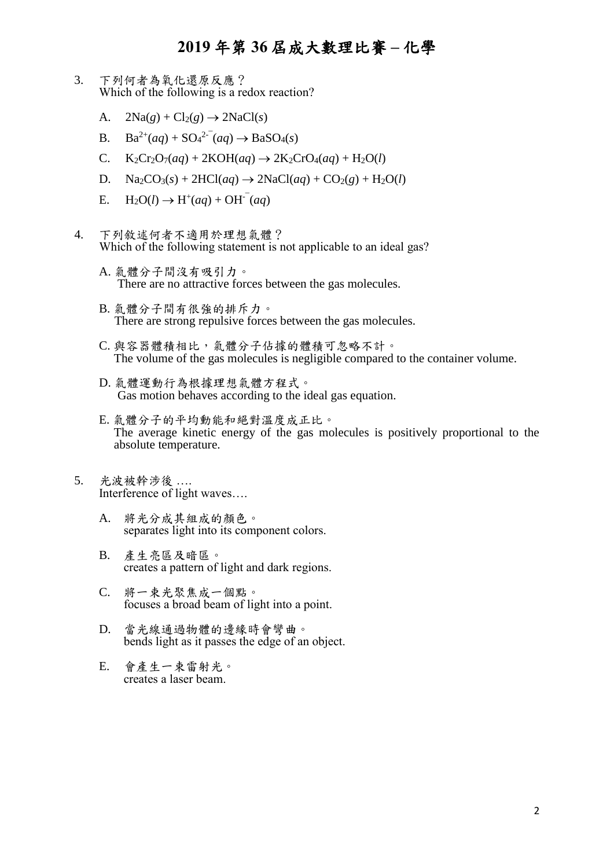- 3. 下列何者為氧化還原反應? Which of the following is a redox reaction?
	- A.  $2\text{Na}(g) + \text{Cl}_2(g) \rightarrow 2\text{NaCl}(s)$
	- B.  $Ba^{2+}(aq) + SO_4^{2-}(aq) \rightarrow BaSO_4(s)$
	- C.  $K_2Cr_2O_7(aq) + 2KOH(aq) \rightarrow 2K_2CrO_4(aq) + H_2O(l)$
	- D.  $\text{Na}_2\text{CO}_3(s) + 2\text{HCl}(aq) \rightarrow 2\text{NaCl}(aq) + \text{CO}_2(g) + \text{H}_2\text{O}(l)$
	- E. H<sub>2</sub>O(*l*) → H<sup>+</sup>(*aq*) + OH<sup>-</sup>(*aq*)
- 4. 下列敘述何者不適用於理想氣體? Which of the following statement is not applicable to an ideal gas?
	- A. 氣體分子間沒有吸引力。 There are no attractive forces between the gas molecules.
	- B. 氣體分子間有很強的排斥力。 There are strong repulsive forces between the gas molecules.
	- C. 與容器體積相比,氣體分子佔據的體積可忽略不計。 The volume of the gas molecules is negligible compared to the container volume.
	- D. 氣體運動行為根據理想氣體方程式。 Gas motion behaves according to the ideal gas equation.
	- E. 氣體分子的平均動能和絕對溫度成正比。 The average kinetic energy of the gas molecules is positively proportional to the absolute temperature.
- 5. 光波被幹涉後 …. Interference of light waves….
	- A. 將光分成其組成的顏色。 separates light into its component colors.
	- B. 產生亮區及暗區。 creates a pattern of light and dark regions.
	- C. 將一束光聚焦成一個點。 focuses a broad beam of light into a point.
	- D. 當光線通過物體的邊緣時會彎曲。 bends light as it passes the edge of an object.
	- E. 會產生一束雷射光。 creates a laser beam.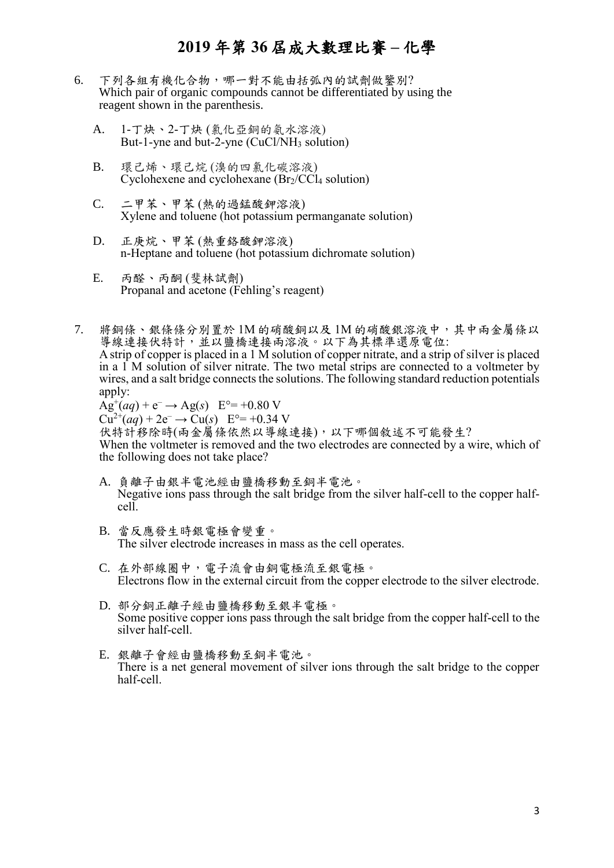- 6. 下列各組有機化合物,哪一對不能由括弧內的試劑做鑒別? Which pair of organic compounds cannot be differentiated by using the reagent shown in the parenthesis.
	- A. 1-丁炔、2-丁炔 (氯化亞銅的氨水溶液) But-1-yne and but-2-yne (CuCl/NH<sub>3</sub> solution)
	- B. 環己烯、環己烷 (溴的四氯化碳溶液) Cyclohexene and cyclohexane  $(Br_2/CCl_4)$  solution)
	- C. 二甲苯、甲苯 (熱的過錳酸鉀溶液) Xylene and toluene (hot potassium permanganate solution)
	- D. 正庚烷、甲苯 (熱重鉻酸鉀溶液) n-Heptane and toluene (hot potassium dichromate solution)
	- E. 丙醛、丙酮 (斐林試劑) Propanal and acetone (Fehling's reagent)
- 7. 將銅條、銀條條分別置於 1M 的硝酸銅以及 1M 的硝酸銀溶液中,其中兩金屬條以 導線連接伏特計,並以鹽橋連接兩溶液。以下為其標準還原電位: A strip of copper is placed in a 1 M solution of copper nitrate, and a strip of silver is placed in a 1 M solution of silver nitrate. The two metal strips are connected to a voltmeter by wires, and a salt bridge connects the solutions. The following standard reduction potentials apply:

 $\text{Ag}^{+}(aq) + e^{-} \rightarrow \text{Ag}(s)$  E°= +0.80 V  $Cu^{2+}(aq) + 2e^- \rightarrow Cu(s)$  E°= +0.34 V 伏特計移除時(兩金屬條依然以導線連接),以下哪個敘述不可能發生? When the voltmeter is removed and the two electrodes are connected by a wire, which of the following does not take place?

- A. 負離子由銀半電池經由鹽橋移動至銅半電池。 Negative ions pass through the salt bridge from the silver half-cell to the copper halfcell.
- B. 當反應發生時銀電極會變重。 The silver electrode increases in mass as the cell operates.
- C. 在外部線圈中,電子流會由銅電極流至銀電極。 Electrons flow in the external circuit from the copper electrode to the silver electrode.
- D. 部分銅正離子經由鹽橋移動至銀半電極。 Some positive copper ions pass through the salt bridge from the copper half-cell to the silver half-cell.
- E. 銀離子會經由鹽橋移動至銅半電池。 There is a net general movement of silver ions through the salt bridge to the copper half-cell.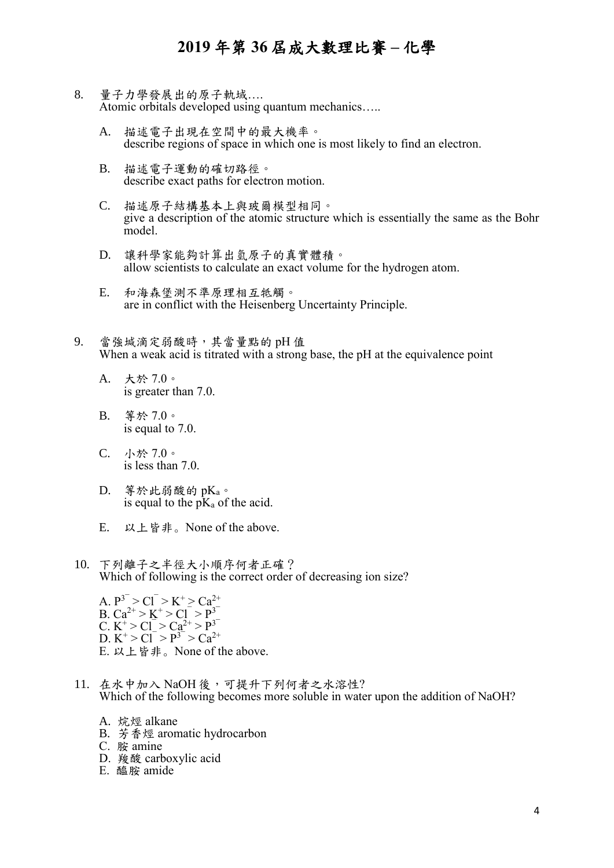- 8. 量子力學發展出的原子軌域…. Atomic orbitals developed using quantum mechanics…..
	- A. 描述電子出現在空間中的最大機率。 describe regions of space in which one is most likely to find an electron.
	- B. 描述電子運動的確切路徑。 describe exact paths for electron motion.
	- C. 描述原子結構基本上與玻爾模型相同。 give a description of the atomic structure which is essentially the same as the Bohr model.
	- D. 讓科學家能夠計算出氫原子的真實體積。 allow scientists to calculate an exact volume for the hydrogen atom.
	- E. 和海森堡測不準原理相互牴觸。 are in conflict with the Heisenberg Uncertainty Principle.
- 9. 當強堿滴定弱酸時,其當量點的 pH 值 When a weak acid is titrated with a strong base, the pH at the equivalence point
	- A. 大於 7.0。 is greater than 7.0.
	- B. 等於 7.0。 is equal to 7.0.
	- C. 小於 7.0。 is less than 7.0.
	- D. 等於此弱酸的 pKa。 is equal to the  $pK_a$  of the acid.
	- E. 以上皆非。None of the above.
- 10. 下列離子之半徑大小順序何者正確? Which of following is the correct order of decreasing ion size?
	- A.  $P^3 > CI^{-} > K^+ > Ca^{2+}$ B.  $Ca^{2+} > K^+ > Cl^- > P^3$ C.  $K^+ > Cl^- > Ca^{2+} > P^{3-}$ D.  $K^+ > Cl^- > P^{3-} > Ca^{2+}$ E. 以上皆非。None of the above.
- 11. 在水中加入 NaOH 後,可提升下列何者之水溶性? Which of the following becomes more soluble in water upon the addition of NaOH?
	- A. 烷烴 alkane
	- B. 芳香烴 aromatic hydrocarbon
	- C. 胺 amine
	- D. 羧酸 carboxylic acid
	- E. 醯胺 amide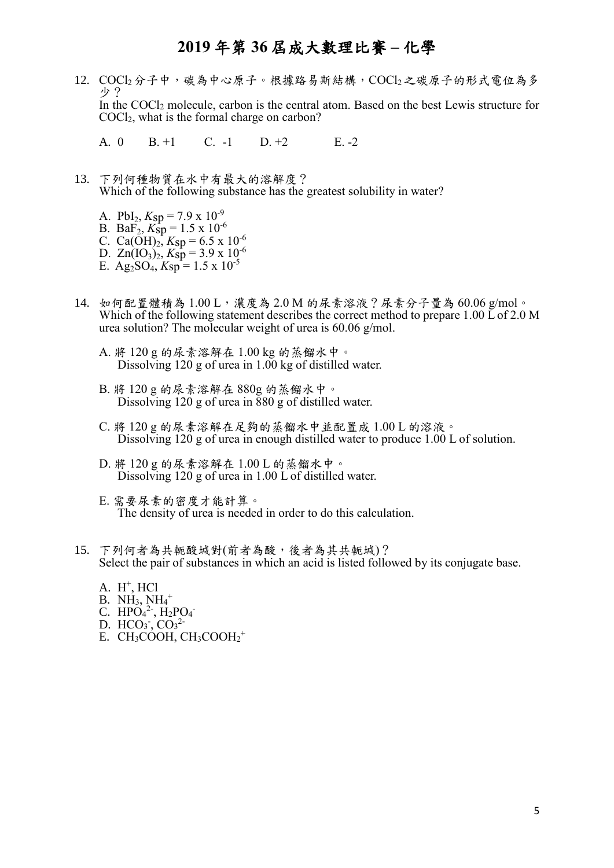12. COCl2分子中,碳為中心原子。根據路易斯結構,COCl2之碳原子的形式電位為多 少? In the COCl<sup>2</sup> molecule, carbon is the central atom. Based on the best Lewis structure for COCl2, what is the formal charge on carbon?

A. 0 B. +1 C. -1 D. +2 E. -2

- 13. 下列何種物質在水中有最大的溶解度? Which of the following substance has the greatest solubility in water?
	- A. PbI<sub>2</sub>,  $K_{\text{sp}} = 7.9 \times 10^{-9}$
	- B. Ba $\overline{F}_2$ ,  $K_{\text{sp}} = 1.5 \times 10^{-6}$ C. Ca( $\tilde{\text{OH}}$ )<sub>2</sub>, Ksp = 6.5 x 10<sup>-6</sup>
	- D.  $Zn(IO_3)_2$ ,  $K_{\text{sp}} = 3.9 \times 10^{-6}$
	- E. Ag<sub>2</sub>SO<sub>4</sub>,  $K_{\text{sp}} = 1.5 \times 10^{-5}$
- 14. 如何配置體積為 1.00 L,濃度為 2.0 M 的尿素溶液?尿素分子量為 60.06 g/mol。 Which of the following statement describes the correct method to prepare 1.00 L of 2.0 M urea solution? The molecular weight of urea is 60.06 g/mol.
	- A. 將 120 g 的尿素溶解在 1.00 kg 的蒸餾水中。 Dissolving 120 g of urea in 1.00 kg of distilled water.
	- B. 將 120 g 的尿素溶解在 880g 的蒸餾水中。 Dissolving 120 g of urea in 880 g of distilled water.
	- C. 將 120 g 的尿素溶解在足夠的蒸餾水中並配置成 1.00 L 的溶液。 Dissolving 120 g of urea in enough distilled water to produce 1.00 L of solution.
	- D. 將 120 g 的尿素溶解在 1.00 L 的蒸餾水中。 Dissolving 120 g of urea in 1.00 L of distilled water.
	- E. 需要尿素的密度才能計算。 The density of urea is needed in order to do this calculation.
- 15. 下列何者為共軛酸堿對(前者為酸,後者為其共軛堿)? Select the pair of substances in which an acid is listed followed by its conjugate base.
	- A.  $H^+$ , HCl
	- $B. NH<sub>3</sub>, NH<sub>4</sub><sup>+</sup>$
	- C.  $HPO_4^2$ ,  $H_2PO_4$
	- D.  $HCO<sub>3</sub>$ ,  $CO<sub>3</sub><sup>2</sup>$
	- E. CH<sub>3</sub>COOH,  $CH_3COOH_2^+$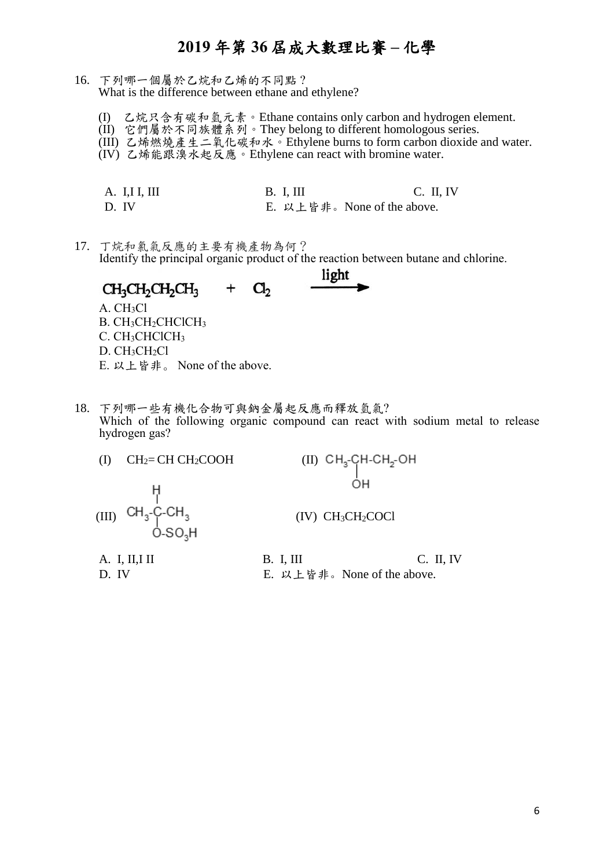- 16. 下列哪一個屬於乙烷和乙烯的不同點 ? What is the difference between ethane and ethylene?
	- (I) 乙烷只含有碳和氫元素。Ethane contains only carbon and hydrogen element.
	- (II) 它們屬於不同族體系列。They belong to different homologous series.
	- (III) 乙烯燃燒產生二氧化碳和水。Ethylene burns to form carbon dioxide and water.
	- (IV) 乙烯能跟溴水起反應。Ethylene can react with bromine water.
	- A. I,I I,I II B. I, III C. II, IV D. IV E. 以上皆非。None of the above.
- 17. 丁烷和氯氣反應的主要有機產物為何? Identify the principal organic product of the reaction between butane and chlorine.



- E. 以上皆非。 None of the above.
- 18. 下列哪一些有機化合物可與鈉金屬起反應而釋放氫氣? Which of the following organic compound can react with sodium metal to release hydrogen gas?

| $CH2=CH CH2COOH$                           | $(II)$ CH <sub>3</sub> -CH-CH <sub>2</sub> -OH |             |  |  |
|--------------------------------------------|------------------------------------------------|-------------|--|--|
|                                            | ОН                                             |             |  |  |
| (III) $CH_3-C-CH_3$<br>O-SO <sub>3</sub> H | (IV) CH <sub>3</sub> CH <sub>2</sub> COCl      |             |  |  |
| A. I, II, II                               | <b>B.</b> I, III                               | $C.$ II, IV |  |  |
| D. IV                                      | E. 以上皆非。None of the above.                     |             |  |  |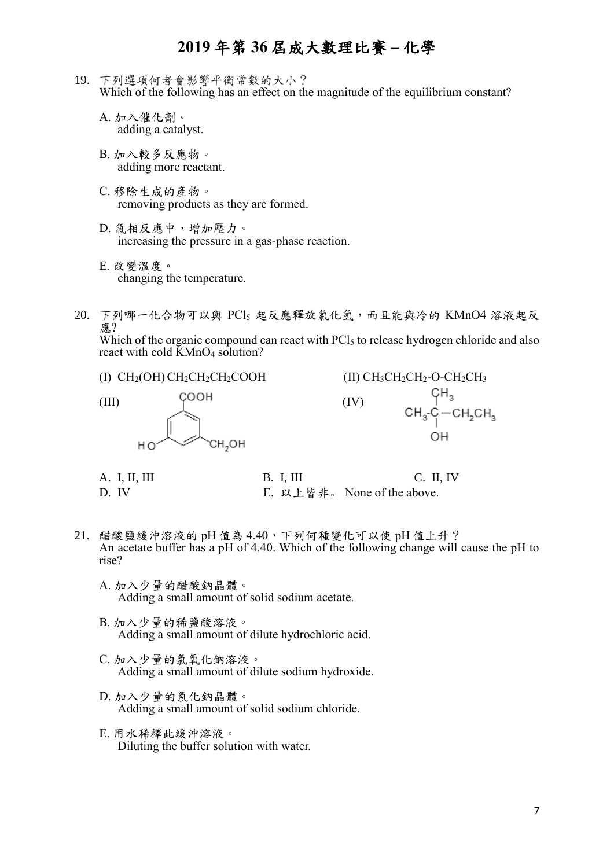- 19. 下列選項何者會影響平衡常數的大小? Which of the following has an effect on the magnitude of the equilibrium constant?
	- A. 加入催化劑。 adding a catalyst.
	- B. 加入較多反應物。 adding more reactant.
	- C. 移除生成的產物。 removing products as they are formed.
	- D. 氣相反應中,增加壓力。 increasing the pressure in a gas-phase reaction.
	- E. 改變溫度。 changing the temperature.
- 20. 下列哪一化合物可以與 PCl<sup>5</sup> 起反應釋放氯化氫,而且能與冷的 KMnO4 溶液起反 應?

Which of the organic compound can react with  $\text{PCl}_5$  to release hydrogen chloride and also react with cold KMnO<sub>4</sub> solution?

(I)  $CH<sub>2</sub>(OH)CH<sub>2</sub>CH<sub>2</sub>CH<sub>2</sub>COOH$ 

 $(III)$   $C^{OOH}$   $(IV)$ CH<sub>2</sub>OH

(II) CH<sub>3</sub>CH<sub>2</sub>CH<sub>2</sub>-O-CH<sub>2</sub>CH<sub>3</sub>

\n(IV)

\n
$$
CH_{3} - C_{1} - CH_{2}CH_{3}
$$
\n
$$
CH_{3} - C_{1} - CH_{2}CH_{3}
$$
\n
$$
OH
$$

| A. I, II, III | <b>B.</b> I, III | C. II, IV                   |
|---------------|------------------|-----------------------------|
| D. IV         |                  | E. 以上皆非。 None of the above. |

- 21. 醋酸鹽緩沖溶液的 pH 值為 4.40, 下列何種變化可以使 pH 值上升? An acetate buffer has a pH of 4.40. Which of the following change will cause the pH to rise?
	- A. 加入少量的醋酸鈉晶體。 Adding a small amount of solid sodium acetate.
	- B. 加入少量的稀鹽酸溶液。 Adding a small amount of dilute hydrochloric acid.
	- C. 加入少量的氯氧化鈉溶液。 Adding a small amount of dilute sodium hydroxide.
	- D. 加入少量的氯化鈉晶體。 Adding a small amount of solid sodium chloride.
	- E. 用水稀釋此緩沖溶液。 Diluting the buffer solution with water.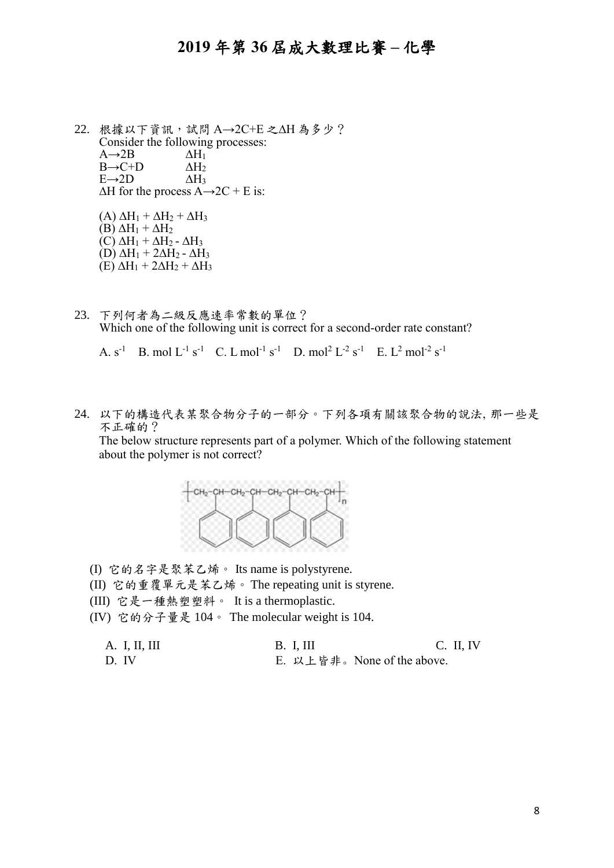$22.$  根據以下資訊,試問  $A\rightarrow$ 2 $C+E$  之 $\Delta$ H 為多少? Consider the following processes:<br>A $\rightarrow$ 2B  $\Delta H_1$  $A\rightarrow 2B$   $\Delta H_1$ <br> $B\rightarrow C+D$   $\Delta H_2$  $B\rightarrow C+D$   $\Delta H_2$ <br> $E\rightarrow 2D$   $\Delta H_3$  $E\rightarrow 2D$  $\Delta H$  for the process A $\rightarrow$  2C + E is:

 $(A) \Delta H_1 + \Delta H_2 + \Delta H_3$  $(B) \Delta H_1 + \Delta H_2$  $(C) \Delta H_1 + \Delta H_2 - \Delta H_3$  $(D) \Delta H_1 + 2\Delta H_2 - \Delta H_3$  $(E) \Delta H_1 + 2\Delta H_2 + \Delta H_3$ 

23. 下列何者為二級反應速率常數的單位? Which one of the following unit is correct for a second-order rate constant?

A.  $s^{-1}$  B. mol  $L^{-1} s^{-1}$  C. L mol<sup>-1</sup>  $s^{-1}$  D. mol<sup>2</sup>  $L^{-2} s^{-1}$  E.  $L^2$  mol<sup>-2</sup>  $s^{-1}$ 

24. 以下的構造代表某聚合物分子的一部分。下列各項有關該聚合物的說法, 那一些是 不正確的?

The below structure represents part of a polymer. Which of the following statement about the polymer is not correct?



- (I) 它的名字是聚苯乙烯。 Its name is polystyrene.
- (II) 它的重覆單元是苯乙烯。 The repeating unit is styrene.
- (III) 它是一種熱塑塑料。 It is a thermoplastic.
- (IV) 它的分子量是 104。 The molecular weight is 104.

| A. I, II, III | $B.$ I, III                | $C.$ II, IV |
|---------------|----------------------------|-------------|
| D. IV         | E. 以上皆非。None of the above. |             |